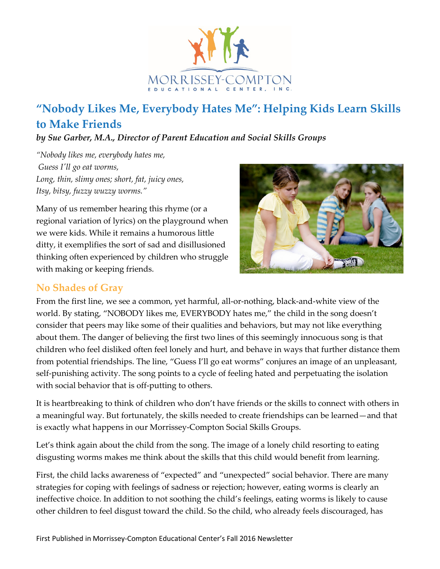

# **"Nobody Likes Me, Everybody Hates Me": Helping Kids Learn Skills to Make Friends**

*by Sue Garber, M.A., Director of Parent Education and Social Skills Groups*

*"Nobody likes me, everybody hates me, Guess I'll go eat worms, Long, thin, slimy ones; short, fat, juicy ones, Itsy, bitsy, fuzzy wuzzy worms."*

Many of us remember hearing this rhyme (or a regional variation of lyrics) on the playground when we were kids. While it remains a humorous little ditty, it exemplifies the sort of sad and disillusioned thinking often experienced by children who struggle with making or keeping friends.



#### **No Shades of Gray**

From the first line, we see a common, yet harmful, all-or-nothing, black-and-white view of the world. By stating, "NOBODY likes me, EVERYBODY hates me," the child in the song doesn't consider that peers may like some of their qualities and behaviors, but may not like everything about them. The danger of believing the first two lines of this seemingly innocuous song is that children who feel disliked often feel lonely and hurt, and behave in ways that further distance them from potential friendships. The line, "Guess I'll go eat worms" conjures an image of an unpleasant, self-punishing activity. The song points to a cycle of feeling hated and perpetuating the isolation with social behavior that is off-putting to others.

It is heartbreaking to think of children who don't have friends or the skills to connect with others in a meaningful way. But fortunately, the skills needed to create friendships can be learned—and that is exactly what happens in our Morrissey-Compton Social Skills Groups.

Let's think again about the child from the song. The image of a lonely child resorting to eating disgusting worms makes me think about the skills that this child would benefit from learning.

First, the child lacks awareness of "expected" and "unexpected" social behavior. There are many strategies for coping with feelings of sadness or rejection; however, eating worms is clearly an ineffective choice. In addition to not soothing the child's feelings, eating worms is likely to cause other children to feel disgust toward the child. So the child, who already feels discouraged, has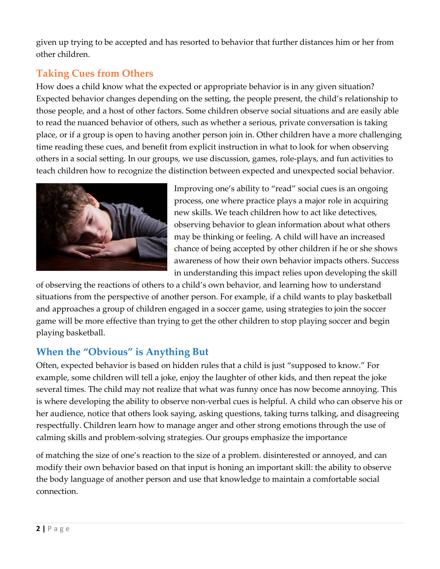given up trying to be accepted and has resorted to behavior that further distances him or her from other children.

## **Taking Cues from Others**

How does a child know what the expected or appropriate behavior is in any given situation? Expected behavior changes depending on the setting, the people present, the child's relationship to those people, and a host of other factors. Some children observe social situations and are easily able to read the nuanced behavior of others, such as whether a serious, private conversation is taking place, or if a group is open to having another person join in. Other children have a more challenging time reading these cues, and benefit from explicit instruction in what to look for when observing others in a social setting. In our groups, we use discussion, games, role-plays, and fun activities to teach children how to recognize the distinction between expected and unexpected social behavior.



Improving one's ability to "read" social cues is an ongoing process, one where practice plays a major role in acquiring new skills. We teach children how to act like detectives, observing behavior to glean information about what others may be thinking or feeling. A child will have an increased chance of being accepted by other children if he or she shows awareness of how their own behavior impacts others. Success in understanding this impact relies upon developing the skill

of observing the reactions of others to a child's own behavior, and learning how to understand situations from the perspective of another person. For example, if a child wants to play basketball and approaches a group of children engaged in a soccer game, using strategies to join the soccer game will be more effective than trying to get the other children to stop playing soccer and begin playing basketball.

### **When the "Obvious" is Anything But**

Often, expected behavior is based on hidden rules that a child is just "supposed to know." For example, some children will tell a joke, enjoy the laughter of other kids, and then repeat the joke several times. The child may not realize that what was funny once has now become annoying. This is where developing the ability to observe non-verbal cues is helpful. A child who can observe his or her audience, notice that others look saying, asking questions, taking turns talking, and disagreeing respectfully. Children learn how to manage anger and other strong emotions through the use of calming skills and problem-solving strategies. Our groups emphasize the importance

of matching the size of one's reaction to the size of a problem. disinterested or annoyed, and can modify their own behavior based on that input is honing an important skill: the ability to observe the body language of another person and use that knowledge to maintain a comfortable social connection.